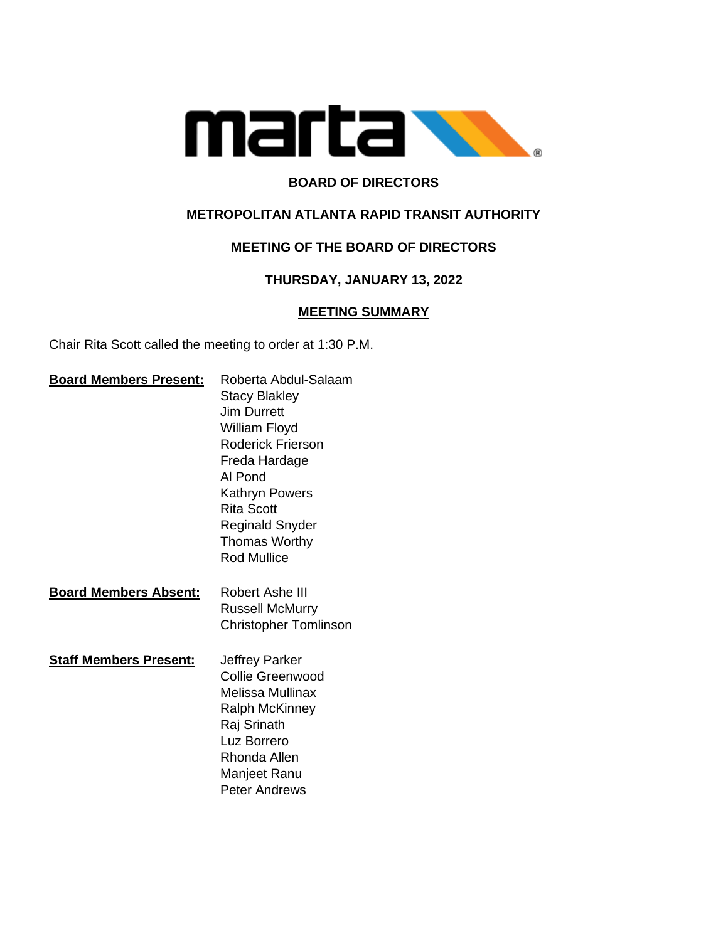

# **BOARD OF DIRECTORS**

## **METROPOLITAN ATLANTA RAPID TRANSIT AUTHORITY**

# **MEETING OF THE BOARD OF DIRECTORS**

## **THURSDAY, JANUARY 13, 2022**

#### **MEETING SUMMARY**

Chair Rita Scott called the meeting to order at 1:30 P.M.

| <b>Board Members Present:</b> | Roberta Abdul-Salaam         |
|-------------------------------|------------------------------|
|                               | <b>Stacy Blakley</b>         |
|                               | <b>Jim Durrett</b>           |
|                               | William Floyd                |
|                               | Roderick Frierson            |
|                               | Freda Hardage                |
|                               | Al Pond                      |
|                               | Kathryn Powers               |
|                               | <b>Rita Scott</b>            |
|                               | <b>Reginald Snyder</b>       |
|                               | <b>Thomas Worthy</b>         |
|                               | <b>Rod Mullice</b>           |
|                               |                              |
| <b>Board Members Absent:</b>  | Robert Ashe III              |
|                               | <b>Russell McMurry</b>       |
|                               | <b>Christopher Tomlinson</b> |
|                               |                              |
| <b>Staff Members Present:</b> | Jeffrey Parker               |
|                               | Collie Greenwood             |
|                               | <b>Melissa Mullinax</b>      |
|                               | Ralph McKinney               |
|                               | Raj Srinath                  |
|                               | Luz Borrero                  |
|                               | Rhonda Allen                 |
|                               | Manjeet Ranu                 |
|                               | <b>Peter Andrews</b>         |